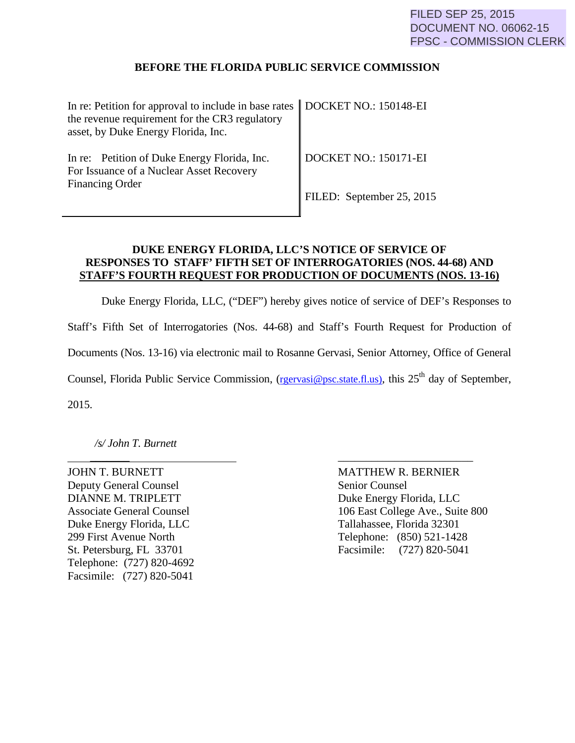## **BEFORE THE FLORIDA PUBLIC SERVICE COMMISSION**

| In re: Petition for approval to include in base rates   DOCKET NO.: 150148-EI<br>the revenue requirement for the CR3 regulatory<br>asset, by Duke Energy Florida, Inc. |                                   |
|------------------------------------------------------------------------------------------------------------------------------------------------------------------------|-----------------------------------|
| In re: Petition of Duke Energy Florida, Inc.<br>For Issuance of a Nuclear Asset Recovery<br><b>Financing Order</b>                                                     | $\parallel$ DOCKET NO.: 150171-EI |
|                                                                                                                                                                        | FILED: September 25, 2015         |

## **DUKE ENERGY FLORIDA, LLC'S NOTICE OF SERVICE OF RESPONSES TO STAFF' FIFTH SET OF INTERROGATORIES (NOS. 44-68) AND STAFF'S FOURTH REQUEST FOR PRODUCTION OF DOCUMENTS (NOS. 13-16)**

Duke Energy Florida, LLC, ("DEF") hereby gives notice of service of DEF's Responses to Staff's Fifth Set of Interrogatories (Nos. 44-68) and Staff's Fourth Request for Production of Documents (Nos. 13-16) via electronic mail to Rosanne Gervasi, Senior Attorney, Office of General Counsel, Florida Public Service Commission, (rgervasi@psc.state.fl.us), this 25<sup>th</sup> day of September, 2015.

 *\_\_\_\_\_\_\_* \_\_\_\_\_\_\_\_\_\_\_\_\_\_\_\_\_\_\_\_\_\_\_\_

*/s/ John T. Burnett*

JOHN T. BURNETT MATTHEW R. BERNIER Deputy General Counsel Senior Counsel DIANNE M. TRIPLETT Duke Energy Florida, LLC Duke Energy Florida, LLC Tallahassee, Florida 32301 Telephone: (727) 820-4692 Facsimile: (727) 820-5041

Associate General Counsel 106 East College Ave., Suite 800 299 First Avenue North Telephone: (850) 521-1428 St. Petersburg, FL 33701 Facsimile: (727) 820-5041